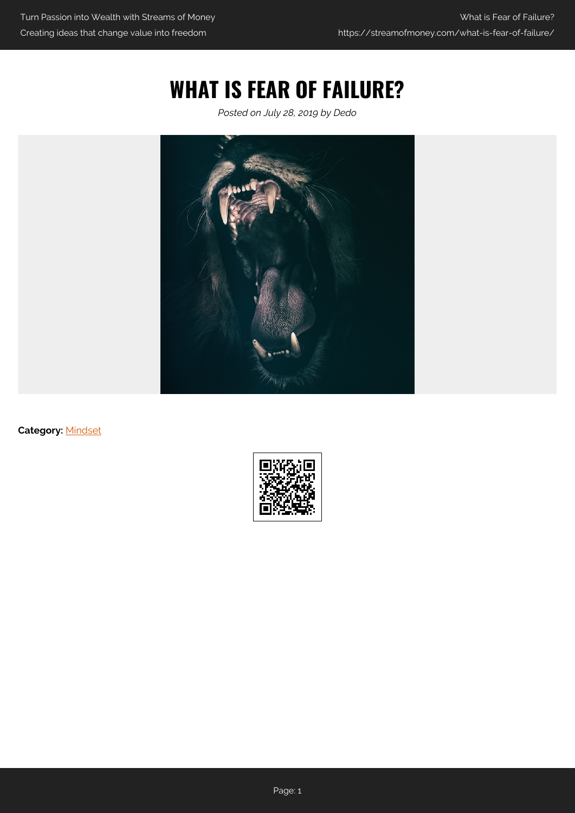# **WHAT IS FEAR OF FAILURE?**

*Posted on July 28, 2019 by Dedo*



**Category:** [Mindset](https://streamofmoney.com/category/mindset/)

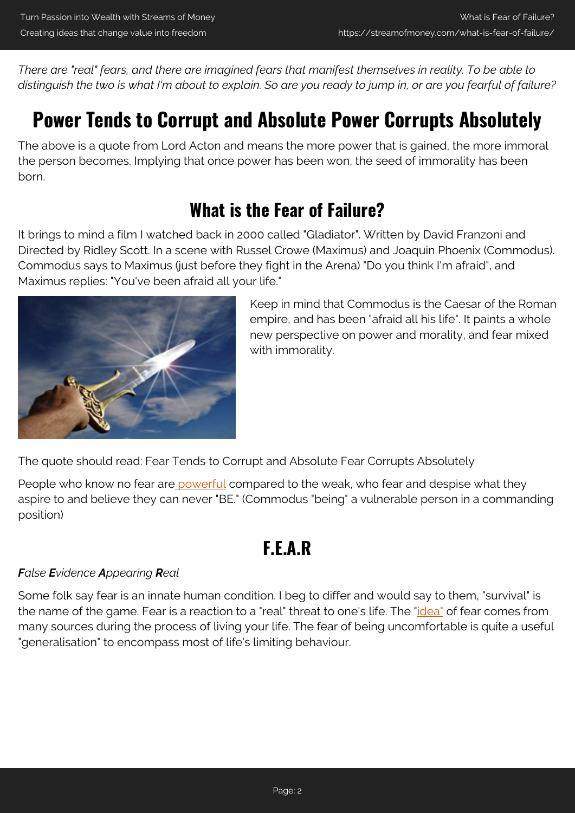*There are "real" fears, and there are imagined fears that manifest themselves in reality. To be able to distinguish the two is what I'm about to explain. So are you ready to jump in, or are you fearful of failure?*

# **Power Tends to Corrupt and Absolute Power Corrupts Absolutely**

The above is a quote from Lord Acton and means the more power that is gained, the more immoral the person becomes. Implying that once power has been won, the seed of immorality has been born.

### **What is the Fear of Failure?**

It brings to mind a film I watched back in 2000 called "Gladiator". Written by David Franzoni and Directed by Ridley Scott. In a scene with Russel Crowe (Maximus) and Joaquin Phoenix (Commodus). Commodus says to Maximus (just before they fight in the Arena) "Do you think I'm afraid", and Maximus replies: "You've been afraid all your life."



Keep in mind that Commodus is the Caesar of the Roman empire, and has been "afraid all his life". It paints a whole new perspective on power and morality, and fear mixed with immorality.

The quote should read: Fear Tends to Corrupt and Absolute Fear Corrupts Absolutely

People who know no fear ar[e powerful](https://streamofmoney.com/straight-line-management-cruising-life-in-the-fast-lane/) compared to the weak, who fear and despise what they aspire to and believe they can never "BE." (Commodus "being" a vulnerable person in a commanding position)

## **F.E.A.R**

### *False Evidence Appearing Real*

Some folk say fear is an innate human condition. I beg to differ and would say to them, "survival" is the name of the game. Fear is a reaction to a "real" threat to one's life. The ["idea"](https://streamofmoney.com/how-to-reduce-stress-in-your-life-and-become-unstoppable/) of fear comes from many sources during the process of living your life. The fear of being uncomfortable is quite a useful "generalisation" to encompass most of life's limiting behaviour.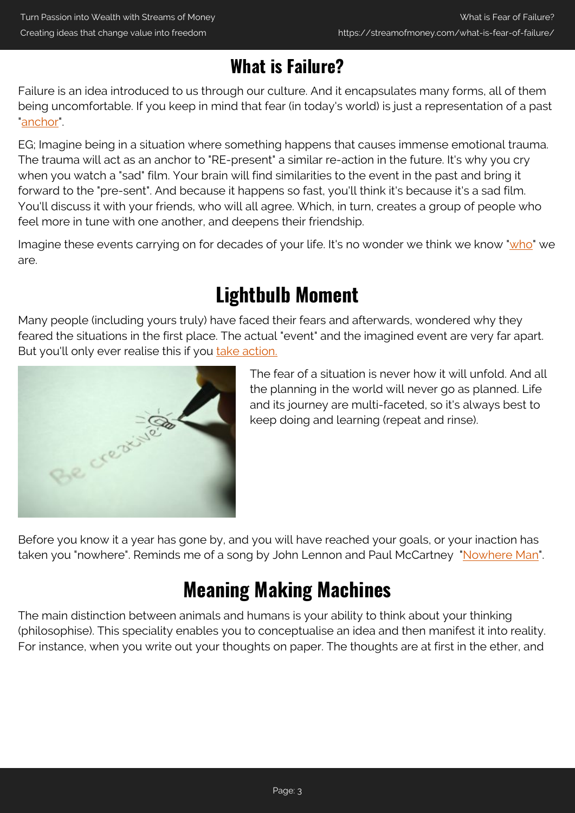## **What is Failure?**

Failure is an idea introduced to us through our culture. And it encapsulates many forms, all of them being uncomfortable. If you keep in mind that fear (in today's world) is just a representation of a past ["anchor"](https://psychology.wikia.org/wiki/Anchoring_(NLP)).

EG; Imagine being in a situation where something happens that causes immense emotional trauma. The trauma will act as an anchor to "RE-present" a similar re-action in the future. It's why you cry when you watch a "sad" film. Your brain will find similarities to the event in the past and bring it forward to the "pre-sent". And because it happens so fast, you'll think it's because it's a sad film. You'll discuss it with your friends, who will all agree. Which, in turn, creates a group of people who feel more in tune with one another, and deepens their friendship.

Imagine these events carrying on for decades of your life. It's no wonder we think we know "[who"](https://streamofmoney.com/what-is-the-secret-to-life-be-mindful-of-your-thoughts/) we are.

# **Lightbulb Moment**

Many people (including yours truly) have faced their fears and afterwards, wondered why they feared the situations in the first place. The actual "event" and the imagined event are very far apart. But you'll only ever realise this if you [take action.](https://streamofmoney.com/create-my-own-website-free/)



The fear of a situation is never how it will unfold. And all the planning in the world will never go as planned. Life and its journey are multi-faceted, so it's always best to keep doing and learning (repeat and rinse).

Before you know it a year has gone by, and you will have reached your goals, or your inaction has taken you "nowhere". Reminds me of a song by John Lennon and Paul McCartney ["Nowhere Man"](https://www.youtube.com/watch?v=8scSwaKbE64).

# **Meaning Making Machines**

The main distinction between animals and humans is your ability to think about your thinking (philosophise). This speciality enables you to conceptualise an idea and then manifest it into reality. For instance, when you write out your thoughts on paper. The thoughts are at first in the ether, and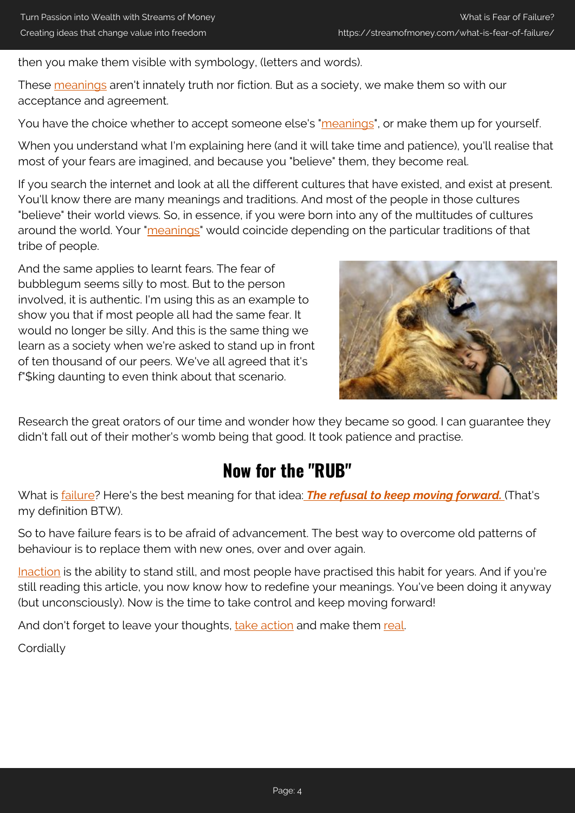then you make them visible with symbology, (letters and words).

These [meanings](https://streamofmoney.com/what-is-the-secret-to-life-be-mindful-of-your-thoughts/) aren't innately truth nor fiction. But as a society, we make them so with our acceptance and agreement.

You have the choice whether to accept someone else's "[meanings](https://streamofmoney.com/the-law-of-attraction-money-what-the-experts-dont-say/)", or make them up for yourself.

When you understand what I'm explaining here (and it will take time and patience), you'll realise that most of your fears are imagined, and because you "believe" them, they become real.

If you search the internet and look at all the different cultures that have existed, and exist at present. You'll know there are many meanings and traditions. And most of the people in those cultures "believe" their world views. So, in essence, if you were born into any of the multitudes of cultures around the world. Your ["meanings"](https://streamofmoney.com/your-life-management-because-you-really-are-worth-it/) would coincide depending on the particular traditions of that tribe of people.

And the same applies to learnt fears. The fear of bubblegum seems silly to most. But to the person involved, it is authentic. I'm using this as an example to show you that if most people all had the same fear. It would no longer be silly. And this is the same thing we learn as a society when we're asked to stand up in front of ten thousand of our peers. We've all agreed that it's f"\$king daunting to even think about that scenario.



Research the great orators of our time and wonder how they became so good. I can guarantee they didn't fall out of their mother's womb being that good. It took patience and practise.

### **Now for the "RUB"**

What is [failure](https://www.merriam-webster.com/dictionary/failure)? Here's the best meaning for that idea: *[The refusal to keep moving forward.](https://streamofmoney.com/straight-line-management-cruising-life-in-the-fast-lane/)* (That's my definition BTW).

So to have failure fears is to be afraid of advancement. The best way to overcome old patterns of behaviour is to replace them with new ones, over and over again.

[Inaction](https://streamofmoney.com/discipline-and-its-battle-with-procrastination/) is the ability to stand still, and most people have practised this habit for years. And if you're still reading this article, you now know how to redefine your meanings. You've been doing it anyway (but unconsciously). Now is the time to take control and keep moving forward!

And don't forget to leave your thoughts, [take action](https://streamofmoney.com/create-my-own-website-free/) and make them [real](https://streamofmoney.com/affiliate-marketing-my-secret-mentor/).

**Cordially**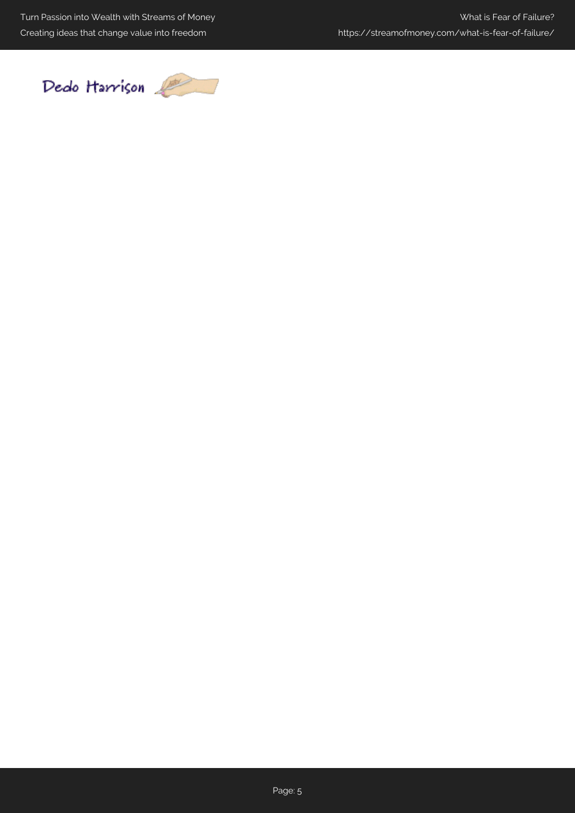Turn Passion into Wealth with Streams of Money Creating ideas that change value into freedom

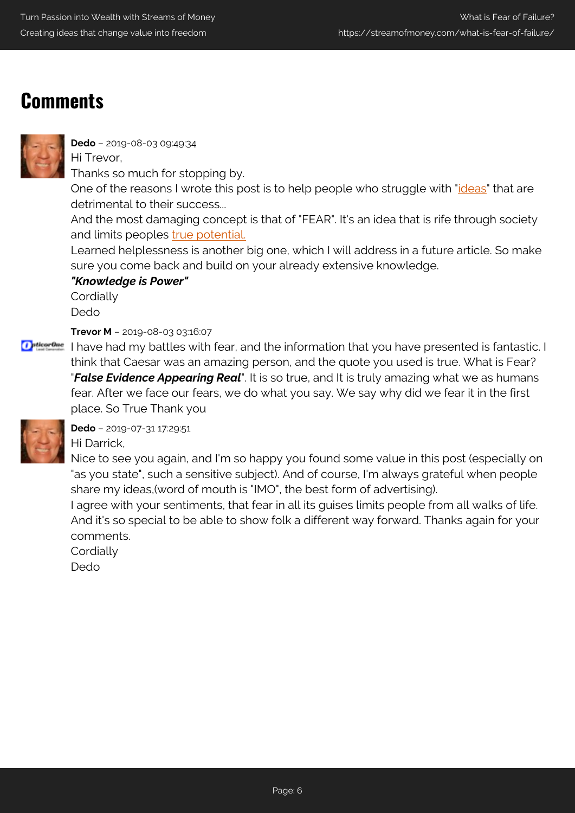## **Comments**



**Dedo** – 2019-08-03 09:49:34

Hi Trevor, Thanks so much for stopping by.

One of the reasons I wrote this post is to help people who struggle with ["ideas"](https://streamofmoney.com/what-is-the-secret-to-life-be-mindful-of-your-thoughts/) that are detrimental to their success...

And the most damaging concept is that of "FEAR". It's an idea that is rife through society and limits peoples [true potential.](https://streamofmoney.com/the-wealth-effect-and-how-to-neuter-the-bears/)

Learned helplessness is another big one, which I will address in a future article. So make sure you come back and build on your already extensive knowledge.

*"Knowledge is Power"*

**Cordially** Dedo

**Trevor M** – 2019-08-03 03:16:07

**D** pthes on I have had my battles with fear, and the information that you have presented is fantastic. I think that Caesar was an amazing person, and the quote you used is true. What is Fear? "*False Evidence Appearing Real*". It is so true, and It is truly amazing what we as humans fear. After we face our fears, we do what you say. We say why did we fear it in the first place. So True Thank you



**Dedo** – 2019-07-31 17:29:51 Hi Darrick,

Nice to see you again, and I'm so happy you found some value in this post (especially on "as you state", such a sensitive subject). And of course, I'm always grateful when people share my ideas,(word of mouth is "IMO", the best form of advertising).

I agree with your sentiments, that fear in all its guises limits people from all walks of life. And it's so special to be able to show folk a different way forward. Thanks again for your comments.

**Cordially** 

Dedo